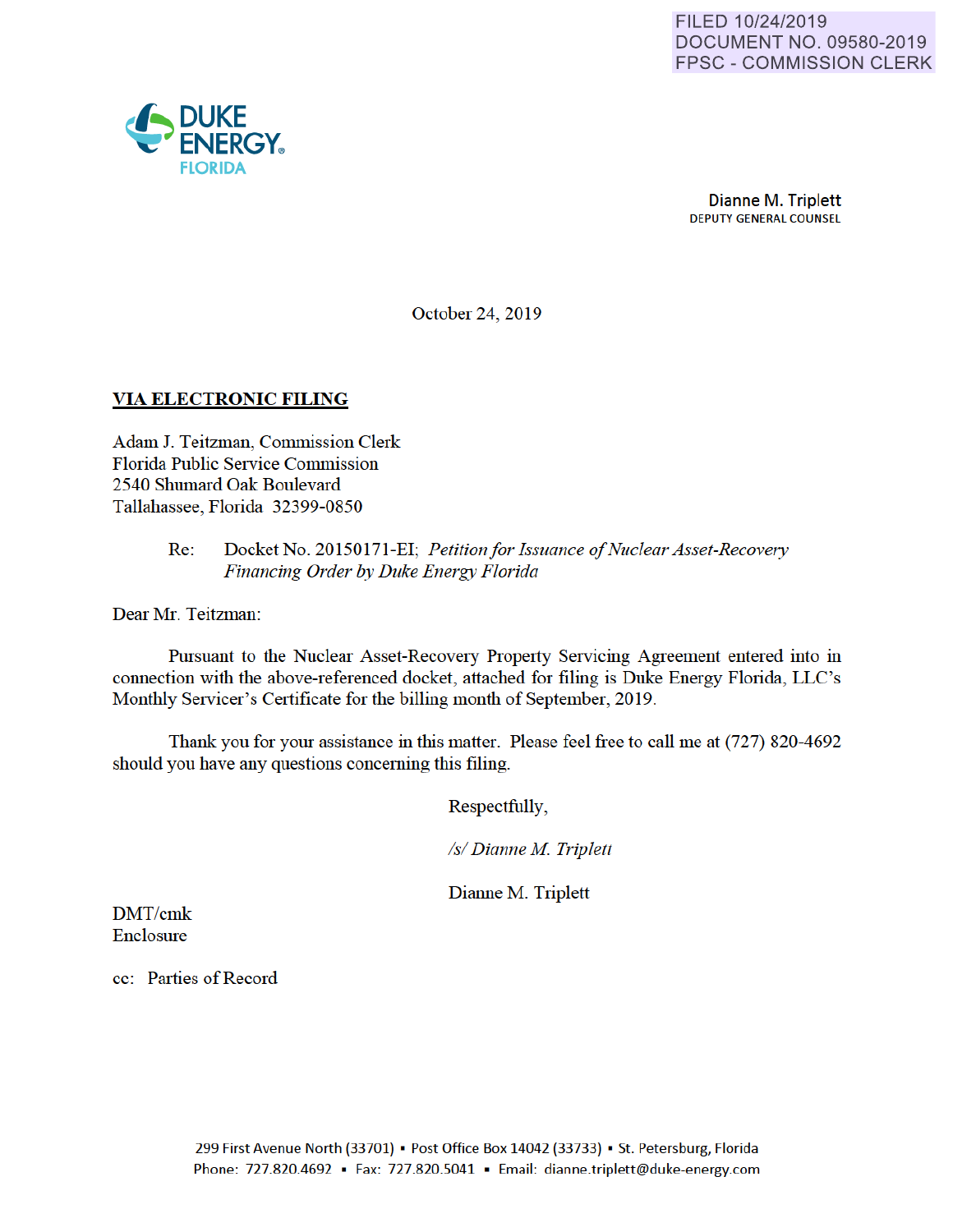

October 24, 2019

## VIA ELECTRONIC FILING

Adam J. Teitzman, Commission Clerk Florida Public Service Commission 2540 Shumard Oak Boulevard Tallahassee, Florida 32399-0850

#### Re: Docket No. 20150171-EI; *Petition for Issuance of Nuclear Asset-Recovery Financing Order by Duke Energy Florida*

Dear Mr. Teitzman:

Pursuant to the Nuclear Asset-Recovery Property Servicing Agreement entered into in connection with the above-referenced docket, attached for filing is Duke Energy Florida, LLC's Monthly Servicer's Certificate for the billing month of September, 2019.

Thank you for your assistance in this matter. Please feel free to call me at (727) 820-4692 should you have any questions conceming this filing.

Respectfully,

*Is/ Dianne M Triplett* 

Dianne M. Triplett

DMT/cmk Enclosure

cc: Parties of Record

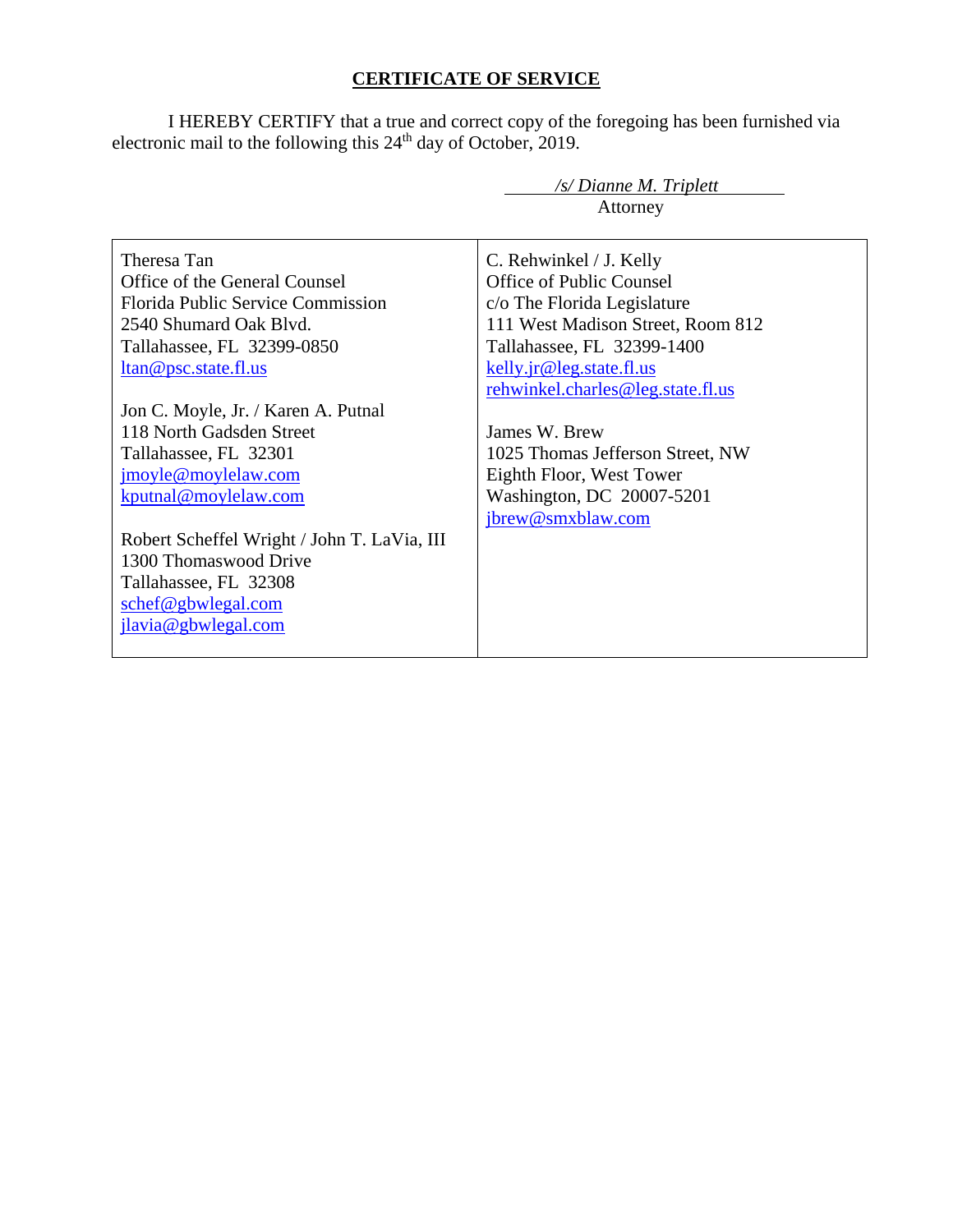# **CERTIFICATE OF SERVICE**

I HEREBY CERTIFY that a true and correct copy of the foregoing has been furnished via electronic mail to the following this 24<sup>th</sup> day of October, 2019.

| /s/ Dianne M. Triplett                      |                                   |  |
|---------------------------------------------|-----------------------------------|--|
|                                             | Attorney                          |  |
|                                             |                                   |  |
| Theresa Tan                                 | C. Rehwinkel / J. Kelly           |  |
| Office of the General Counsel               | Office of Public Counsel          |  |
| Florida Public Service Commission           | c/o The Florida Legislature       |  |
| 2540 Shumard Oak Blvd.                      | 111 West Madison Street, Room 812 |  |
| Tallahassee, FL 32399-0850                  | Tallahassee, FL 32399-1400        |  |
| ltan@psc.state.fl.us                        | kelly.jr@leg.state.fl.us          |  |
|                                             | rehwinkel.charles@leg.state.fl.us |  |
| Jon C. Moyle, Jr. / Karen A. Putnal         |                                   |  |
| 118 North Gadsden Street                    | James W. Brew                     |  |
| Tallahassee, FL 32301                       | 1025 Thomas Jefferson Street, NW  |  |
| jmoyle@moylelaw.com                         | Eighth Floor, West Tower          |  |
| kputnal@moylelaw.com                        | Washington, DC 20007-5201         |  |
|                                             | jbrew@smxblaw.com                 |  |
| Robert Scheffel Wright / John T. LaVia, III |                                   |  |
| 1300 Thomaswood Drive                       |                                   |  |
| Tallahassee, FL 32308                       |                                   |  |
| schef@gbwlegal.com                          |                                   |  |
| jlavia@gbwlegal.com                         |                                   |  |
|                                             |                                   |  |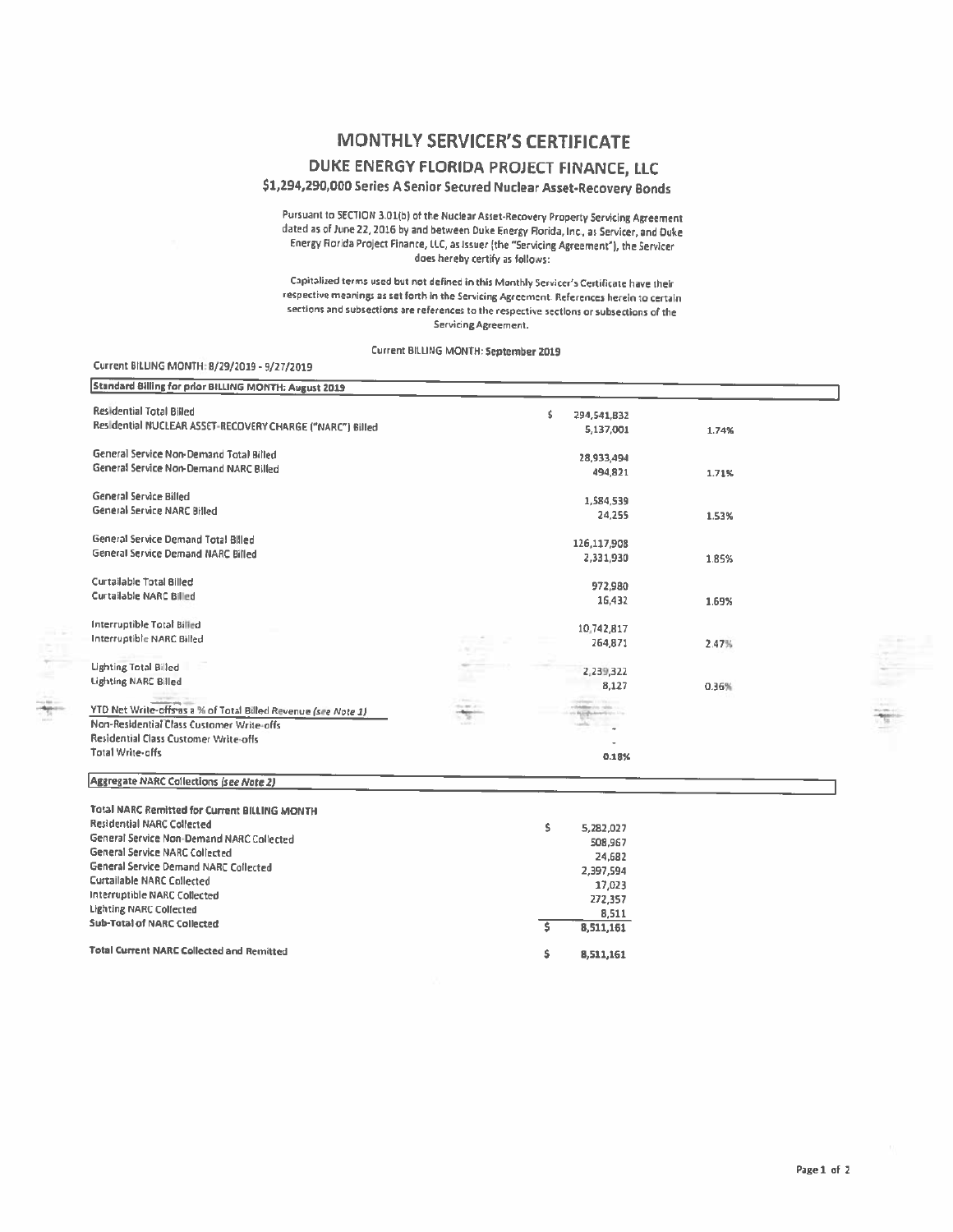### **MONTHLY SERVICER'S CERTIFICATE**

#### DUKE ENERGY FLORIDA PROJECT FINANCE, LLC

\$1,294,290,000 Series A Senior Secured Nuclear Asset-Recovery Bonds

Pursuant to SECTION 3.01(b) of the Nuclear Asset-Recovery Property Servicing Agreement dated as of June 22, 2016 by and between Duke Energy Florida, Inc., as Servicer, and Duke Energy Florida Project Finance, LLC, as Issuer (the "Servicing Agreement"), the Servicer does hereby certify as follows:

Capitalized terms used but not defined in this Monthly Servicer's Certificate have their respective meanings as set forth in the Servicing Agreement. References herein to certain sections and subsections are references to the respective sections or subsections of the Servicing Agreement.

Current BILLING MONTH: September 2019

#### Current BILLING MONTH: 8/29/2019 - 9/27/2019

| Standard Billing for prior BILLING MONTH: August 2019                                                       |                                   |    |                                   |       |  |
|-------------------------------------------------------------------------------------------------------------|-----------------------------------|----|-----------------------------------|-------|--|
| <b>Residential Total Billed</b>                                                                             |                                   | Ś  | 294,541,B32                       |       |  |
| Residential NUCLEAR ASSET-RECOVERY CHARGE ("NARC") Billed                                                   |                                   |    | 5,137,001                         | 1.74% |  |
| General Service Non-Demand Total Billed                                                                     |                                   |    |                                   |       |  |
| General Service Non-Demand NARC Billed                                                                      |                                   |    | 28,933,494                        |       |  |
|                                                                                                             |                                   |    | 494,821                           | 1.71% |  |
| General Service Billed                                                                                      |                                   |    | 1,584,539                         |       |  |
| General Service NARC Billed                                                                                 |                                   |    | 24,255                            | 1.53% |  |
|                                                                                                             |                                   |    |                                   |       |  |
| General Service Demand Total Billed                                                                         |                                   |    | 126,117,908                       |       |  |
| General Service Demand NARC Billed                                                                          |                                   |    | 2,331,930                         | 1.85% |  |
| Curtailable Total Billed                                                                                    |                                   |    | 972,980                           |       |  |
| <b>Curtailable NARC Billed</b>                                                                              |                                   |    | 16,432                            | 1.69% |  |
|                                                                                                             |                                   |    |                                   |       |  |
| Interruptible Total Billed                                                                                  |                                   |    | 10,742,817                        |       |  |
| Interruptible NARC Billed                                                                                   |                                   |    | 264,871                           | 2.47% |  |
|                                                                                                             |                                   |    |                                   |       |  |
| <b>Lighting Total Billed</b>                                                                                |                                   |    | 2,239,322                         |       |  |
| <b>Lighting NARC Billed</b>                                                                                 |                                   |    | 8,127                             | 0.36% |  |
|                                                                                                             | Chevrolet Corp.<br>the art of the |    |                                   |       |  |
| YTD Net Write-offs as a % of Total Billed Revenue (see Note 1)<br>Non-Residential Class Customer Write-offs |                                   |    | and Bill Englishment English Line |       |  |
| Residential Class Customer Write-offs                                                                       |                                   |    |                                   |       |  |
| Total Write-offs                                                                                            |                                   |    | ٠                                 |       |  |
|                                                                                                             |                                   |    | 0.18%                             |       |  |
| <b>Aggregate NARC Collections (see Note 2)</b>                                                              |                                   |    |                                   |       |  |
| Total NARC Remitted for Current BILLING MONTH                                                               |                                   |    |                                   |       |  |
| <b>Residential NARC Collected</b>                                                                           |                                   | s. | 5.282.022                         |       |  |

| Residential NARC Collected                       | 5.282.027 |
|--------------------------------------------------|-----------|
| General Service Non-Demand NARC Collected        | 508,967   |
| General Service NARC Collected                   | 24,682    |
| General Service Demand NARC Collected            | 2,397,594 |
| <b>Curtailable NARC Collected</b>                | 17,023    |
| Interruptible NARC Collected                     | 272,357   |
| <b>Lighting NARC Collected</b>                   | 8,511     |
| <b>Sub-Total of NARC Collected</b>               | 8.511.161 |
| <b>Total Current NARC Collected and Remitted</b> | 8.511.161 |